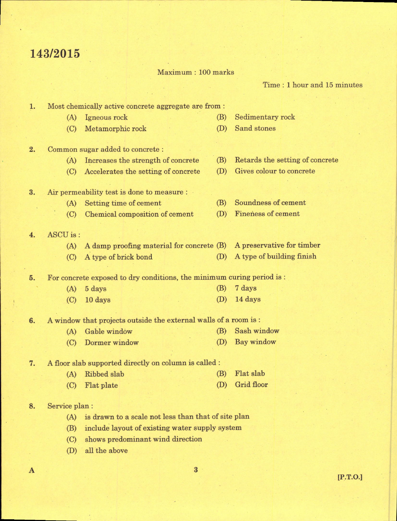## 143/2015

1.

 $2.$ 

3.

E.

 $\mathbf{A}$ 

7.

Time : I hour and 15 minutes

Maximum : 100 marks Most chemically active concrete aggregate are from : (A) Igneous rock @) Sedimentary rock (C) Metamorphic rock  $(D)$ Sand stones Common sugar added to concrete : (A) Increaees the strength of concrete (B) Retards the setting of concrete (C) Accelerates the setting of concrete (D) Gives colour to concrete Air permeability test is done to measure : (B) Soundness of cement (A) Setting time of cement (D) Fineness of cement : (C) Chemical composition of cement 4. ASCU is : (A) A damp proofing material for concrete (B) A preservative for timber (C) A type of brick bond (D) A type of building finish 5. For concrete exposed to dry conditions, the minimum curing period is : (B) 7 days (A) 5 days (C) 10 days (D) 14 days 6. A window that projects outside the external walls of a room is : (B) Sash window (A) Gable window (O Dormer window (D) Bay window A floor slab supported directly on column is called : (A) Ribbed slab @) Flat slab (D) Grid floor (C) Flat plate Service plan: (A) is drawn to a scale not less than that of site plan (B) include layout of existing water supply system (C) shows predominant wind direction (D) all the above  $\overline{3}$